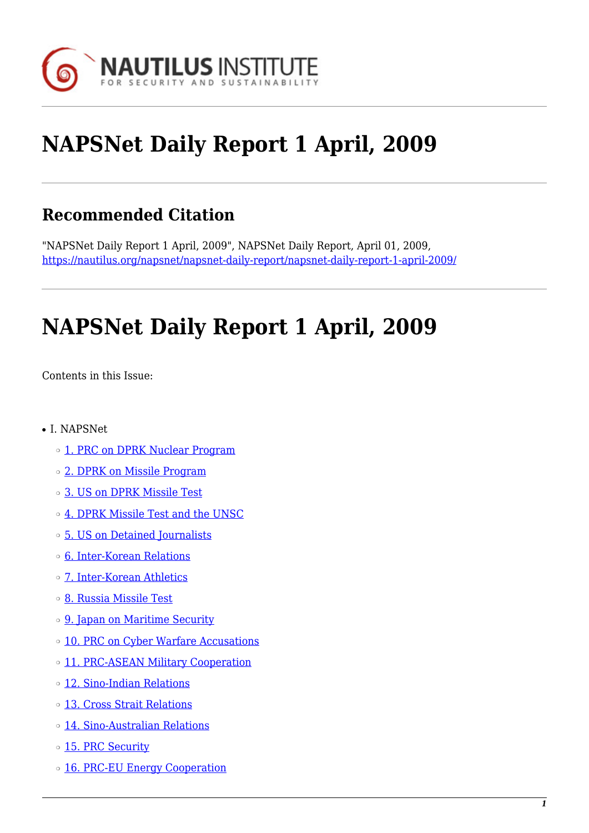

# **NAPSNet Daily Report 1 April, 2009**

# **Recommended Citation**

"NAPSNet Daily Report 1 April, 2009", NAPSNet Daily Report, April 01, 2009, <https://nautilus.org/napsnet/napsnet-daily-report/napsnet-daily-report-1-april-2009/>

# **NAPSNet Daily Report 1 April, 2009**

<span id="page-0-0"></span>Contents in this Issue:

- I. NAPSNet
	- o [1. PRC on DPRK Nuclear Program](#page-1-0)
	- ❍ [2. DPRK on Missile Program](#page-1-1)
	- ❍ [3. US on DPRK Missile Test](#page-2-0)
	- ❍ [4. DPRK Missile Test and the UNSC](#page-2-1)
	- ❍ [5. US on Detained Journalists](#page-2-2)
	- ❍ [6. Inter-Korean Relations](#page-2-3)
	- ❍ [7. Inter-Korean Athletics](#page-3-0)
	- ❍ [8. Russia Missile Test](#page-3-1)
	- o [9. Japan on Maritime Security](#page-3-2)
	- ❍ [10. PRC on Cyber Warfare Accusations](#page-4-0)
	- o [11. PRC-ASEAN Military Cooperation](#page-4-1)
	- ❍ [12. Sino-Indian Relations](#page-4-2)
	- ❍ [13. Cross Strait Relations](#page-4-3)
	- ❍ [14. Sino-Australian Relations](#page-5-0)
	- o [15. PRC Security](#page-5-1)
	- o [16. PRC-EU Energy Cooperation](#page-5-2)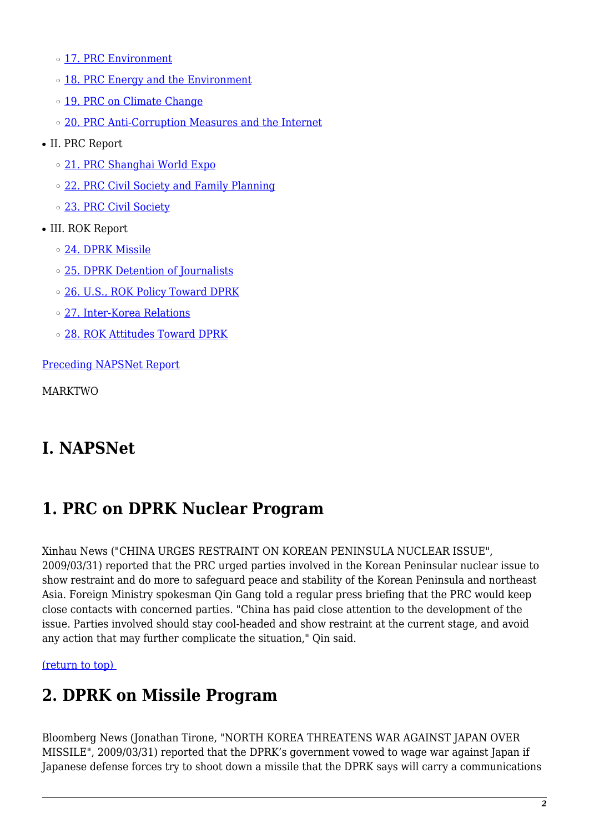- ❍ [17. PRC Environment](#page-6-0)
- o [18. PRC Energy and the Environment](#page-6-1)
- o [19. PRC on Climate Change](#page-6-2)
- o [20. PRC Anti-Corruption Measures and the Internet](#page-6-3)
- II. PRC Report
	- ❍ [21. PRC Shanghai World Expo](#page-7-0)
	- ❍ [22. PRC Civil Society and Family Planning](#page-7-1)
	- o [23. PRC Civil Society](#page-7-2)
- III. ROK Report
	- ❍ [24. DPRK Missile](#page-8-0)
	- ❍ [25. DPRK Detention of Journalists](#page-8-1)
	- $\circ$  [26. U.S., ROK Policy Toward DPRK](#page-8-2)
	- ❍ [27. Inter-Korea Relations](#page-8-3)
	- ❍ [28. ROK Attitudes Toward DPRK](#page-9-0)

[Preceding NAPSNet Report](https://nautilus.org/mailing-lists/napsnet/dr/2009-2/napsnet-daily-report-31-march-2009/)

MARKTWO

# **I. NAPSNet**

# <span id="page-1-0"></span>**1. PRC on DPRK Nuclear Program**

Xinhau News ("CHINA URGES RESTRAINT ON KOREAN PENINSULA NUCLEAR ISSUE", 2009/03/31) reported that the PRC urged parties involved in the Korean Peninsular nuclear issue to show restraint and do more to safeguard peace and stability of the Korean Peninsula and northeast Asia. Foreign Ministry spokesman Qin Gang told a regular press briefing that the PRC would keep close contacts with concerned parties. "China has paid close attention to the development of the issue. Parties involved should stay cool-headed and show restraint at the current stage, and avoid any action that may further complicate the situation," Qin said.

<span id="page-1-1"></span>[\(return to top\)](#page-0-0) 

# **2. DPRK on Missile Program**

Bloomberg News (Jonathan Tirone, "NORTH KOREA THREATENS WAR AGAINST JAPAN OVER MISSILE", 2009/03/31) reported that the DPRK's government vowed to wage war against Japan if Japanese defense forces try to shoot down a missile that the DPRK says will carry a communications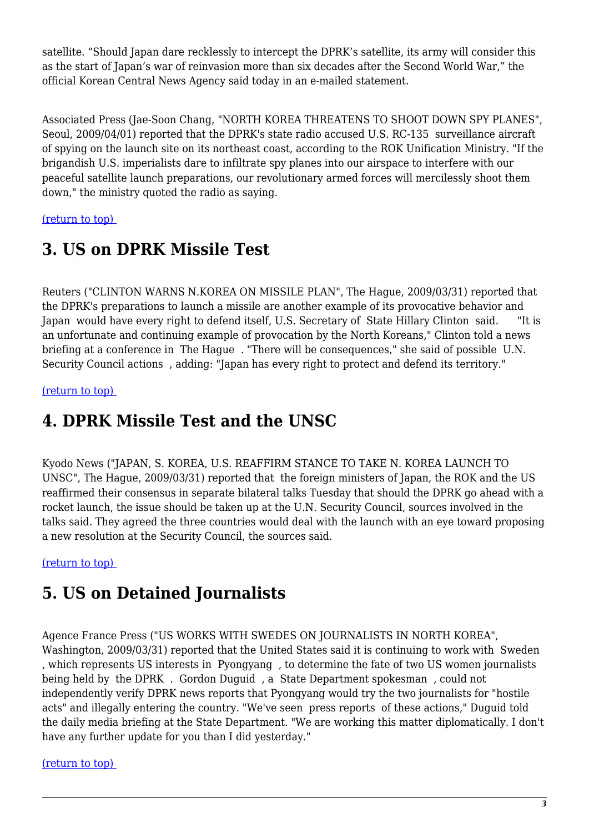satellite. "Should Japan dare recklessly to intercept the DPRK's satellite, its army will consider this as the start of Japan's war of reinvasion more than six decades after the Second World War," the official Korean Central News Agency said today in an e-mailed statement.

Associated Press (Jae-Soon Chang, "NORTH KOREA THREATENS TO SHOOT DOWN SPY PLANES", Seoul, 2009/04/01) reported that the DPRK's state radio accused U.S. RC-135 surveillance aircraft of spying on the launch site on its northeast coast, according to the ROK Unification Ministry. "If the brigandish U.S. imperialists dare to infiltrate spy planes into our airspace to interfere with our peaceful satellite launch preparations, our revolutionary armed forces will mercilessly shoot them down," the ministry quoted the radio as saying.

<span id="page-2-0"></span>[\(return to top\)](#page-0-0) 

# **3. US on DPRK Missile Test**

Reuters ("CLINTON WARNS N.KOREA ON MISSILE PLAN", The Hague, 2009/03/31) reported that the DPRK's preparations to launch a missile are another example of its provocative behavior and Japan would have every right to defend itself, U.S. Secretary of State Hillary Clinton said. "It is an unfortunate and continuing example of provocation by the North Koreans," Clinton told a news briefing at a conference in The Hague . "There will be consequences," she said of possible U.N. Security Council actions , adding: "Japan has every right to protect and defend its territory."

<span id="page-2-1"></span>[\(return to top\)](#page-0-0) 

# **4. DPRK Missile Test and the UNSC**

Kyodo News ("JAPAN, S. KOREA, U.S. REAFFIRM STANCE TO TAKE N. KOREA LAUNCH TO UNSC", The Hague, 2009/03/31) reported that the foreign ministers of Japan, the ROK and the US reaffirmed their consensus in separate bilateral talks Tuesday that should the DPRK go ahead with a rocket launch, the issue should be taken up at the U.N. Security Council, sources involved in the talks said. They agreed the three countries would deal with the launch with an eye toward proposing a new resolution at the Security Council, the sources said.

<span id="page-2-2"></span>[\(return to top\)](#page-0-0) 

# **5. US on Detained Journalists**

Agence France Press ("US WORKS WITH SWEDES ON JOURNALISTS IN NORTH KOREA", Washington, 2009/03/31) reported that the United States said it is continuing to work with Sweden , which represents US interests in Pyongyang , to determine the fate of two US women journalists being held by the DPRK . Gordon Duguid , a State Department spokesman , could not independently verify DPRK news reports that Pyongyang would try the two journalists for "hostile acts" and illegally entering the country. "We've seen press reports of these actions," Duguid told the daily media briefing at the State Department. "We are working this matter diplomatically. I don't have any further update for you than I did yesterday."

#### <span id="page-2-3"></span>[\(return to top\)](#page-0-0)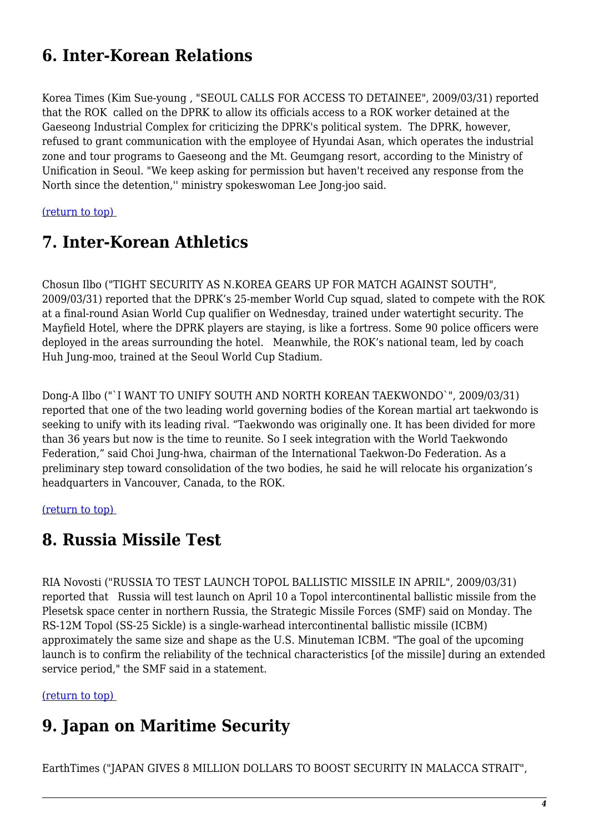# **6. Inter-Korean Relations**

Korea Times (Kim Sue-young , "SEOUL CALLS FOR ACCESS TO DETAINEE", 2009/03/31) reported that the ROK called on the DPRK to allow its officials access to a ROK worker detained at the Gaeseong Industrial Complex for criticizing the DPRK's political system. The DPRK, however, refused to grant communication with the employee of Hyundai Asan, which operates the industrial zone and tour programs to Gaeseong and the Mt. Geumgang resort, according to the Ministry of Unification in Seoul. "We keep asking for permission but haven't received any response from the North since the detention,'' ministry spokeswoman Lee Jong-joo said.

<span id="page-3-0"></span>[\(return to top\)](#page-0-0) 

### **7. Inter-Korean Athletics**

Chosun Ilbo ("TIGHT SECURITY AS N.KOREA GEARS UP FOR MATCH AGAINST SOUTH", 2009/03/31) reported that the DPRK's 25-member World Cup squad, slated to compete with the ROK at a final-round Asian World Cup qualifier on Wednesday, trained under watertight security. The Mayfield Hotel, where the DPRK players are staying, is like a fortress. Some 90 police officers were deployed in the areas surrounding the hotel. Meanwhile, the ROK's national team, led by coach Huh Jung-moo, trained at the Seoul World Cup Stadium.

Dong-A Ilbo ("`I WANT TO UNIFY SOUTH AND NORTH KOREAN TAEKWONDO`", 2009/03/31) reported that one of the two leading world governing bodies of the Korean martial art taekwondo is seeking to unify with its leading rival. "Taekwondo was originally one. It has been divided for more than 36 years but now is the time to reunite. So I seek integration with the World Taekwondo Federation," said Choi Jung-hwa, chairman of the International Taekwon-Do Federation. As a preliminary step toward consolidation of the two bodies, he said he will relocate his organization's headquarters in Vancouver, Canada, to the ROK.

<span id="page-3-1"></span>[\(return to top\)](#page-0-0) 

#### **8. Russia Missile Test**

RIA Novosti ("RUSSIA TO TEST LAUNCH TOPOL BALLISTIC MISSILE IN APRIL", 2009/03/31) reported that Russia will test launch on April 10 a Topol intercontinental ballistic missile from the Plesetsk space center in northern Russia, the Strategic Missile Forces (SMF) said on Monday. The RS-12M Topol (SS-25 Sickle) is a single-warhead intercontinental ballistic missile (ICBM) approximately the same size and shape as the U.S. Minuteman ICBM. "The goal of the upcoming launch is to confirm the reliability of the technical characteristics [of the missile] during an extended service period," the SMF said in a statement.

<span id="page-3-2"></span>[\(return to top\)](#page-0-0) 

### **9. Japan on Maritime Security**

EarthTimes ("JAPAN GIVES 8 MILLION DOLLARS TO BOOST SECURITY IN MALACCA STRAIT",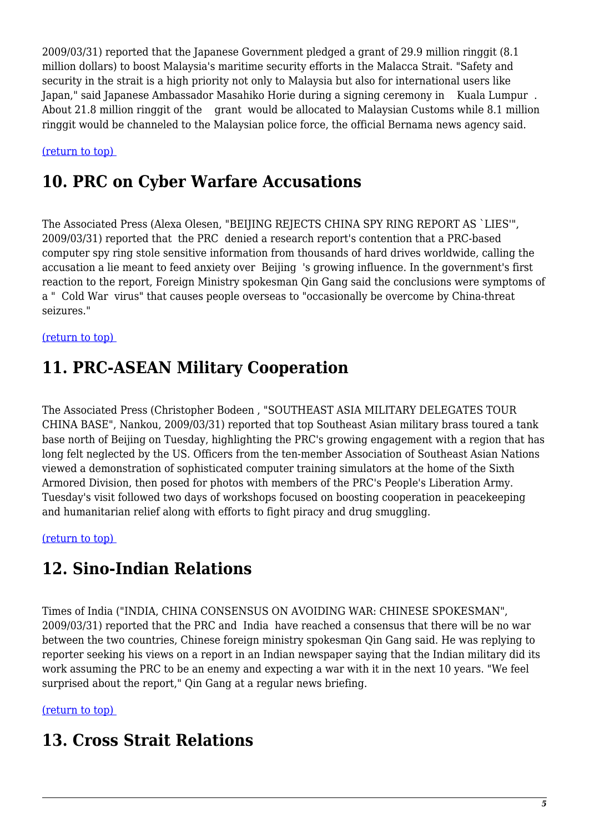2009/03/31) reported that the Japanese Government pledged a grant of 29.9 million ringgit (8.1 million dollars) to boost Malaysia's maritime security efforts in the Malacca Strait. "Safety and security in the strait is a high priority not only to Malaysia but also for international users like Japan," said Japanese Ambassador Masahiko Horie during a signing ceremony in Kuala Lumpur . About 21.8 million ringgit of the grant would be allocated to Malaysian Customs while 8.1 million ringgit would be channeled to the Malaysian police force, the official Bernama news agency said.

<span id="page-4-0"></span>[\(return to top\)](#page-0-0) 

### **10. PRC on Cyber Warfare Accusations**

The Associated Press (Alexa Olesen, "BEIJING REJECTS CHINA SPY RING REPORT AS `LIES'", 2009/03/31) reported that the PRC denied a research report's contention that a PRC-based computer spy ring stole sensitive information from thousands of hard drives worldwide, calling the accusation a lie meant to feed anxiety over Beijing 's growing influence. In the government's first reaction to the report, Foreign Ministry spokesman Qin Gang said the conclusions were symptoms of a " Cold War virus" that causes people overseas to "occasionally be overcome by China-threat seizures."

#### <span id="page-4-1"></span>[\(return to top\)](#page-0-0)

### **11. PRC-ASEAN Military Cooperation**

The Associated Press (Christopher Bodeen , "SOUTHEAST ASIA MILITARY DELEGATES TOUR CHINA BASE", Nankou, 2009/03/31) reported that top Southeast Asian military brass toured a tank base north of Beijing on Tuesday, highlighting the PRC's growing engagement with a region that has long felt neglected by the US. Officers from the ten-member Association of Southeast Asian Nations viewed a demonstration of sophisticated computer training simulators at the home of the Sixth Armored Division, then posed for photos with members of the PRC's People's Liberation Army. Tuesday's visit followed two days of workshops focused on boosting cooperation in peacekeeping and humanitarian relief along with efforts to fight piracy and drug smuggling.

<span id="page-4-2"></span>[\(return to top\)](#page-0-0) 

# **12. Sino-Indian Relations**

Times of India ("INDIA, CHINA CONSENSUS ON AVOIDING WAR: CHINESE SPOKESMAN", 2009/03/31) reported that the PRC and India have reached a consensus that there will be no war between the two countries, Chinese foreign ministry spokesman Qin Gang said. He was replying to reporter seeking his views on a report in an Indian newspaper saying that the Indian military did its work assuming the PRC to be an enemy and expecting a war with it in the next 10 years. "We feel surprised about the report," Qin Gang at a regular news briefing.

#### <span id="page-4-3"></span>[\(return to top\)](#page-0-0)

#### **13. Cross Strait Relations**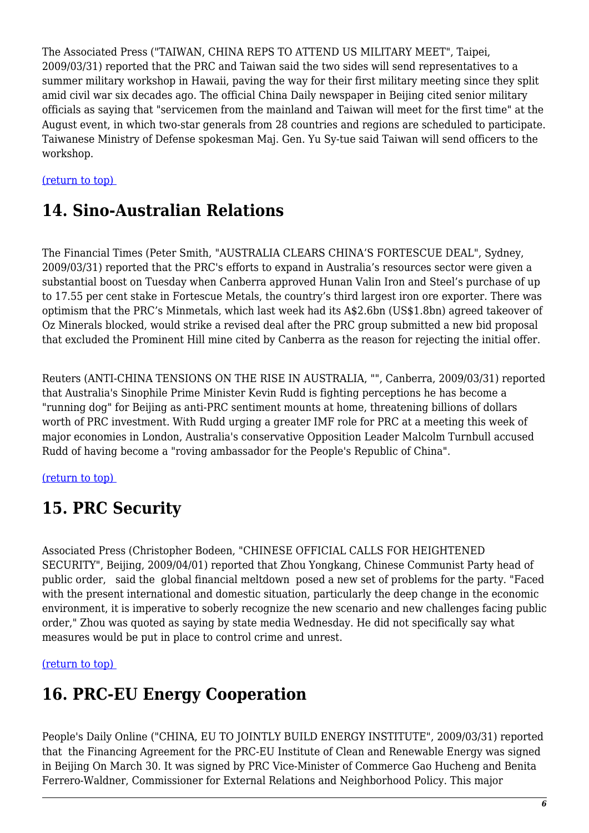The Associated Press ("TAIWAN, CHINA REPS TO ATTEND US MILITARY MEET", Taipei, 2009/03/31) reported that the PRC and Taiwan said the two sides will send representatives to a summer military workshop in Hawaii, paving the way for their first military meeting since they split amid civil war six decades ago. The official China Daily newspaper in Beijing cited senior military officials as saying that "servicemen from the mainland and Taiwan will meet for the first time" at the August event, in which two-star generals from 28 countries and regions are scheduled to participate. Taiwanese Ministry of Defense spokesman Maj. Gen. Yu Sy-tue said Taiwan will send officers to the workshop.

#### <span id="page-5-0"></span>[\(return to top\)](#page-0-0)

### **14. Sino-Australian Relations**

The Financial Times (Peter Smith, "AUSTRALIA CLEARS CHINA'S FORTESCUE DEAL", Sydney, 2009/03/31) reported that the PRC's efforts to expand in Australia's resources sector were given a substantial boost on Tuesday when Canberra approved Hunan Valin Iron and Steel's purchase of up to 17.55 per cent stake in Fortescue Metals, the country's third largest iron ore exporter. There was optimism that the PRC's Minmetals, which last week had its A\$2.6bn (US\$1.8bn) agreed takeover of Oz Minerals blocked, would strike a revised deal after the PRC group submitted a new bid proposal that excluded the Prominent Hill mine cited by Canberra as the reason for rejecting the initial offer.

Reuters (ANTI-CHINA TENSIONS ON THE RISE IN AUSTRALIA, "", Canberra, 2009/03/31) reported that Australia's Sinophile Prime Minister Kevin Rudd is fighting perceptions he has become a "running dog" for Beijing as anti-PRC sentiment mounts at home, threatening billions of dollars worth of PRC investment. With Rudd urging a greater IMF role for PRC at a meeting this week of major economies in London, Australia's conservative Opposition Leader Malcolm Turnbull accused Rudd of having become a "roving ambassador for the People's Republic of China".

#### <span id="page-5-1"></span>[\(return to top\)](#page-0-0)

# **15. PRC Security**

Associated Press (Christopher Bodeen, "CHINESE OFFICIAL CALLS FOR HEIGHTENED SECURITY", Beijing, 2009/04/01) reported that Zhou Yongkang, Chinese Communist Party head of public order, said the global financial meltdown posed a new set of problems for the party. "Faced with the present international and domestic situation, particularly the deep change in the economic environment, it is imperative to soberly recognize the new scenario and new challenges facing public order," Zhou was quoted as saying by state media Wednesday. He did not specifically say what measures would be put in place to control crime and unrest.

<span id="page-5-2"></span>[\(return to top\)](#page-0-0) 

# **16. PRC-EU Energy Cooperation**

People's Daily Online ("CHINA, EU TO JOINTLY BUILD ENERGY INSTITUTE", 2009/03/31) reported that the Financing Agreement for the PRC-EU Institute of Clean and Renewable Energy was signed in Beijing On March 30. It was signed by PRC Vice-Minister of Commerce Gao Hucheng and Benita Ferrero-Waldner, Commissioner for External Relations and Neighborhood Policy. This major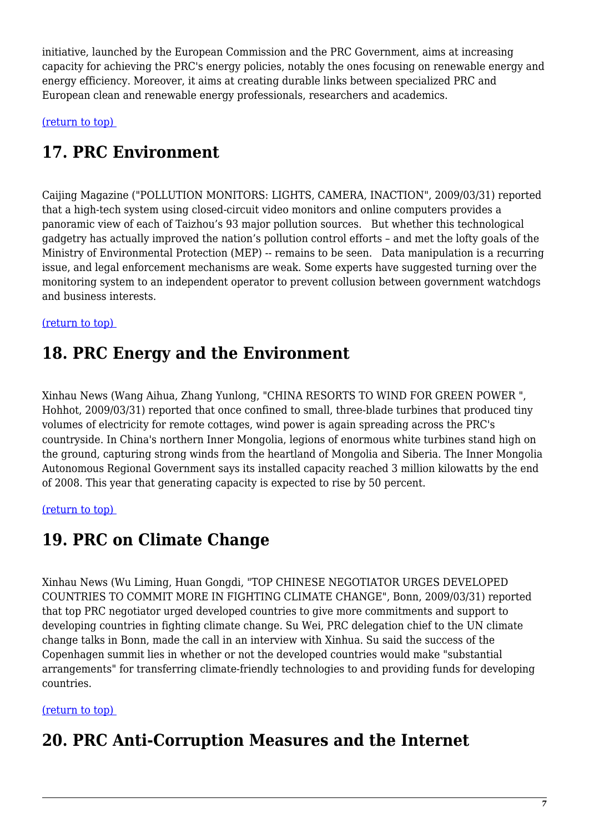initiative, launched by the European Commission and the PRC Government, aims at increasing capacity for achieving the PRC's energy policies, notably the ones focusing on renewable energy and energy efficiency. Moreover, it aims at creating durable links between specialized PRC and European clean and renewable energy professionals, researchers and academics.

<span id="page-6-0"></span>[\(return to top\)](#page-0-0) 

# **17. PRC Environment**

Caijing Magazine ("POLLUTION MONITORS: LIGHTS, CAMERA, INACTION", 2009/03/31) reported that a high-tech system using closed-circuit video monitors and online computers provides a panoramic view of each of Taizhou's 93 major pollution sources. But whether this technological gadgetry has actually improved the nation's pollution control efforts – and met the lofty goals of the Ministry of Environmental Protection (MEP) -- remains to be seen. Data manipulation is a recurring issue, and legal enforcement mechanisms are weak. Some experts have suggested turning over the monitoring system to an independent operator to prevent collusion between government watchdogs and business interests.

#### <span id="page-6-1"></span>[\(return to top\)](#page-0-0)

#### **18. PRC Energy and the Environment**

Xinhau News (Wang Aihua, Zhang Yunlong, "CHINA RESORTS TO WIND FOR GREEN POWER ", Hohhot, 2009/03/31) reported that once confined to small, three-blade turbines that produced tiny volumes of electricity for remote cottages, wind power is again spreading across the PRC's countryside. In China's northern Inner Mongolia, legions of enormous white turbines stand high on the ground, capturing strong winds from the heartland of Mongolia and Siberia. The Inner Mongolia Autonomous Regional Government says its installed capacity reached 3 million kilowatts by the end of 2008. This year that generating capacity is expected to rise by 50 percent.

#### <span id="page-6-2"></span>[\(return to top\)](#page-0-0)

### **19. PRC on Climate Change**

Xinhau News (Wu Liming, Huan Gongdi, "TOP CHINESE NEGOTIATOR URGES DEVELOPED COUNTRIES TO COMMIT MORE IN FIGHTING CLIMATE CHANGE", Bonn, 2009/03/31) reported that top PRC negotiator urged developed countries to give more commitments and support to developing countries in fighting climate change. Su Wei, PRC delegation chief to the UN climate change talks in Bonn, made the call in an interview with Xinhua. Su said the success of the Copenhagen summit lies in whether or not the developed countries would make "substantial arrangements" for transferring climate-friendly technologies to and providing funds for developing countries.

#### <span id="page-6-3"></span>[\(return to top\)](#page-0-0)

### **20. PRC Anti-Corruption Measures and the Internet**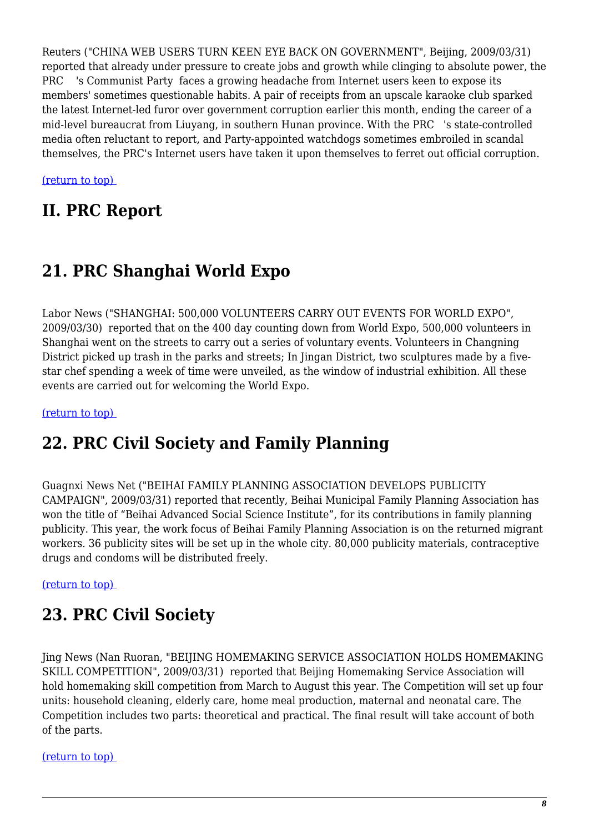Reuters ("CHINA WEB USERS TURN KEEN EYE BACK ON GOVERNMENT", Beijing, 2009/03/31) reported that already under pressure to create jobs and growth while clinging to absolute power, the PRC 's Communist Party faces a growing headache from Internet users keen to expose its members' sometimes questionable habits. A pair of receipts from an upscale karaoke club sparked the latest Internet-led furor over government corruption earlier this month, ending the career of a mid-level bureaucrat from Liuyang, in southern Hunan province. With the PRC 's state-controlled media often reluctant to report, and Party-appointed watchdogs sometimes embroiled in scandal themselves, the PRC's Internet users have taken it upon themselves to ferret out official corruption.

[\(return to top\)](#page-0-0) 

#### **II. PRC Report**

# <span id="page-7-0"></span>**21. PRC Shanghai World Expo**

Labor News ("SHANGHAI: 500,000 VOLUNTEERS CARRY OUT EVENTS FOR WORLD EXPO", 2009/03/30) reported that on the 400 day counting down from World Expo, 500,000 volunteers in Shanghai went on the streets to carry out a series of voluntary events. Volunteers in Changning District picked up trash in the parks and streets; In Jingan District, two sculptures made by a fivestar chef spending a week of time were unveiled, as the window of industrial exhibition. All these events are carried out for welcoming the World Expo.

<span id="page-7-1"></span>[\(return to top\)](#page-0-0) 

# **22. PRC Civil Society and Family Planning**

Guagnxi News Net ("BEIHAI FAMILY PLANNING ASSOCIATION DEVELOPS PUBLICITY CAMPAIGN", 2009/03/31) reported that recently, Beihai Municipal Family Planning Association has won the title of "Beihai Advanced Social Science Institute", for its contributions in family planning publicity. This year, the work focus of Beihai Family Planning Association is on the returned migrant workers. 36 publicity sites will be set up in the whole city. 80,000 publicity materials, contraceptive drugs and condoms will be distributed freely.

<span id="page-7-2"></span>[\(return to top\)](#page-0-0) 

# **23. PRC Civil Society**

Jing News (Nan Ruoran, "BEIJING HOMEMAKING SERVICE ASSOCIATION HOLDS HOMEMAKING SKILL COMPETITION", 2009/03/31) reported that Beijing Homemaking Service Association will hold homemaking skill competition from March to August this year. The Competition will set up four units: household cleaning, elderly care, home meal production, maternal and neonatal care. The Competition includes two parts: theoretical and practical. The final result will take account of both of the parts.

[\(return to top\)](#page-0-0)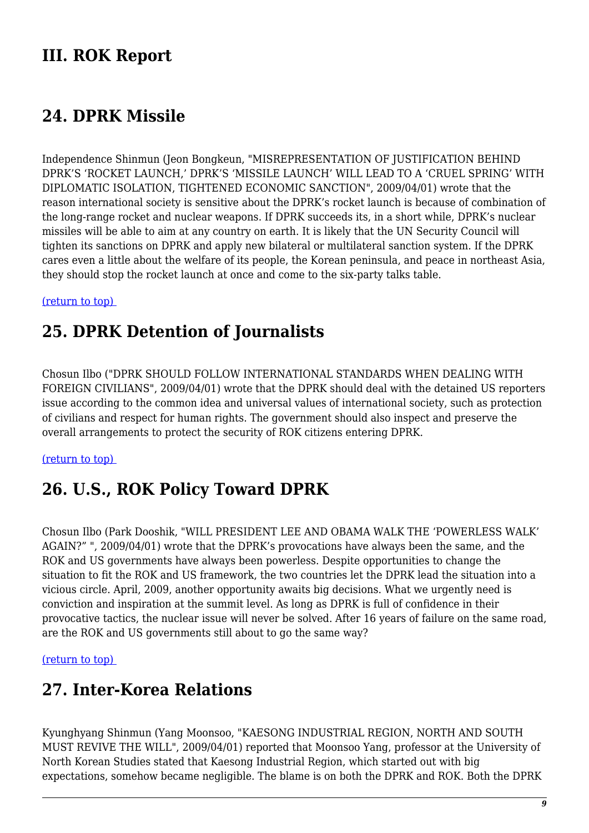### **III. ROK Report**

#### <span id="page-8-0"></span>**24. DPRK Missile**

Independence Shinmun (Jeon Bongkeun, "MISREPRESENTATION OF JUSTIFICATION BEHIND DPRK'S 'ROCKET LAUNCH,' DPRK'S 'MISSILE LAUNCH' WILL LEAD TO A 'CRUEL SPRING' WITH DIPLOMATIC ISOLATION, TIGHTENED ECONOMIC SANCTION", 2009/04/01) wrote that the reason international society is sensitive about the DPRK's rocket launch is because of combination of the long-range rocket and nuclear weapons. If DPRK succeeds its, in a short while, DPRK's nuclear missiles will be able to aim at any country on earth. It is likely that the UN Security Council will tighten its sanctions on DPRK and apply new bilateral or multilateral sanction system. If the DPRK cares even a little about the welfare of its people, the Korean peninsula, and peace in northeast Asia, they should stop the rocket launch at once and come to the six-party talks table.

<span id="page-8-1"></span>[\(return to top\)](#page-0-0) 

#### **25. DPRK Detention of Journalists**

Chosun Ilbo ("DPRK SHOULD FOLLOW INTERNATIONAL STANDARDS WHEN DEALING WITH FOREIGN CIVILIANS", 2009/04/01) wrote that the DPRK should deal with the detained US reporters issue according to the common idea and universal values of international society, such as protection of civilians and respect for human rights. The government should also inspect and preserve the overall arrangements to protect the security of ROK citizens entering DPRK.

#### <span id="page-8-2"></span>[\(return to top\)](#page-0-0)

#### **26. U.S., ROK Policy Toward DPRK**

Chosun Ilbo (Park Dooshik, "WILL PRESIDENT LEE AND OBAMA WALK THE 'POWERLESS WALK' AGAIN?" ", 2009/04/01) wrote that the DPRK's provocations have always been the same, and the ROK and US governments have always been powerless. Despite opportunities to change the situation to fit the ROK and US framework, the two countries let the DPRK lead the situation into a vicious circle. April, 2009, another opportunity awaits big decisions. What we urgently need is conviction and inspiration at the summit level. As long as DPRK is full of confidence in their provocative tactics, the nuclear issue will never be solved. After 16 years of failure on the same road, are the ROK and US governments still about to go the same way?

#### <span id="page-8-3"></span>[\(return to top\)](#page-0-0)

#### **27. Inter-Korea Relations**

Kyunghyang Shinmun (Yang Moonsoo, "KAESONG INDUSTRIAL REGION, NORTH AND SOUTH MUST REVIVE THE WILL", 2009/04/01) reported that Moonsoo Yang, professor at the University of North Korean Studies stated that Kaesong Industrial Region, which started out with big expectations, somehow became negligible. The blame is on both the DPRK and ROK. Both the DPRK